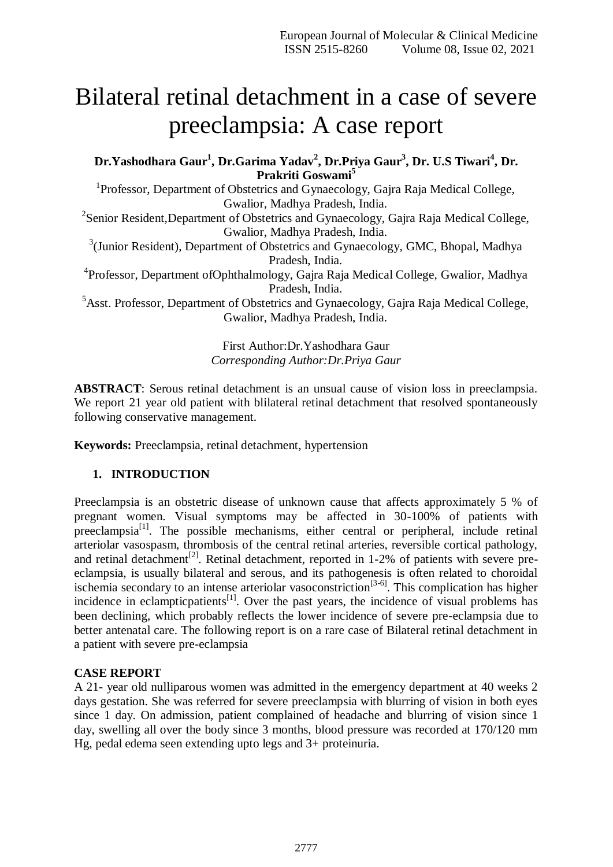# Bilateral retinal detachment in a case of severe preeclampsia: A case report

**Dr.Yashodhara Gaur<sup>1</sup> , Dr.Garima Yadav<sup>2</sup> , Dr.Priya Gaur<sup>3</sup> , Dr. U.S Tiwari<sup>4</sup> , Dr. Prakriti Goswami<sup>5</sup>**

<sup>1</sup>Professor, Department of Obstetrics and Gynaecology, Gajra Raja Medical College, Gwalior, Madhya Pradesh, India.

<sup>2</sup>Senior Resident, Department of Obstetrics and Gynaecology, Gajra Raja Medical College, Gwalior, Madhya Pradesh, India.

<sup>3</sup>(Junior Resident), Department of Obstetrics and Gynaecology, GMC, Bhopal, Madhya Pradesh, India.

4 Professor, Department ofOphthalmology, Gajra Raja Medical College, Gwalior, Madhya Pradesh, India.

<sup>5</sup>Asst. Professor, Department of Obstetrics and Gynaecology, Gajra Raja Medical College, Gwalior, Madhya Pradesh, India.

> First Author:Dr.Yashodhara Gaur *Corresponding Author:Dr.Priya Gaur*

**ABSTRACT**: Serous retinal detachment is an unsual cause of vision loss in preeclampsia. We report 21 year old patient with blilateral retinal detachment that resolved spontaneously following conservative management.

**Keywords:** Preeclampsia, retinal detachment, hypertension

# **1. INTRODUCTION**

Preeclampsia is an obstetric disease of unknown cause that affects approximately 5 % of pregnant women. Visual symptoms may be affected in 30-100% of patients with preeclampsia<sup>[1]</sup>. The possible mechanisms, either central or peripheral, include retinal arteriolar vasospasm, thrombosis of the central retinal arteries, reversible cortical pathology, and retinal detachment<sup>[2]</sup>. Retinal detachment, reported in  $1-2%$  of patients with severe preeclampsia, is usually bilateral and serous, and its pathogenesis is often related to choroidal ischemia secondary to an intense arteriolar vasoconstriction<sup>[3-6]</sup>. This complication has higher incidence in eclamptic patients<sup>[1]</sup>. Over the past years, the incidence of visual problems has been declining, which probably reflects the lower incidence of severe pre-eclampsia due to better antenatal care. The following report is on a rare case of Bilateral retinal detachment in a patient with severe pre-eclampsia

# **CASE REPORT**

A 21- year old nulliparous women was admitted in the emergency department at 40 weeks 2 days gestation. She was referred for severe preeclampsia with blurring of vision in both eyes since 1 day. On admission, patient complained of headache and blurring of vision since 1 day, swelling all over the body since 3 months, blood pressure was recorded at 170/120 mm Hg, pedal edema seen extending upto legs and 3+ proteinuria.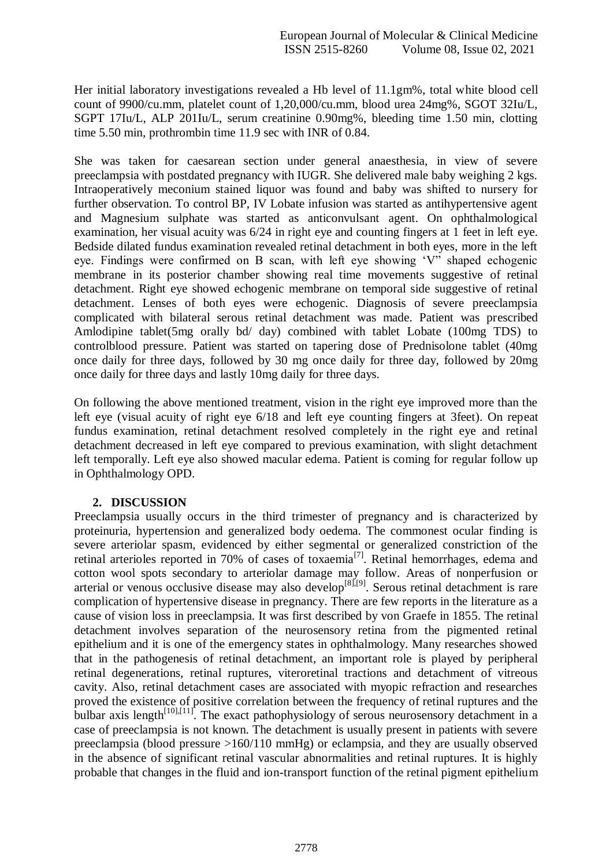Her initial laboratory investigations revealed a Hb level of 11.1gm%, total white blood cell count of 9900/cu.mm, platelet count of 1,20,000/cu.mm, blood urea 24mg%, SGOT 32Iu/L, SGPT 17Iu/L, ALP 201Iu/L, serum creatinine 0.90mg%, bleeding time 1.50 min, clotting time 5.50 min, prothrombin time 11.9 sec with INR of 0.84.

She was taken for caesarean section under general anaesthesia, in view of severe preeclampsia with postdated pregnancy with IUGR. She delivered male baby weighing 2 kgs. Intraoperatively meconium stained liquor was found and baby was shifted to nursery for further observation. To control BP, IV Lobate infusion was started as antihypertensive agent and Magnesium sulphate was started as anticonvulsant agent. On ophthalmological examination, her visual acuity was 6/24 in right eye and counting fingers at 1 feet in left eye. Bedside dilated fundus examination revealed retinal detachment in both eyes, more in the left eye. Findings were confirmed on B scan, with left eye showing 'V" shaped echogenic membrane in its posterior chamber showing real time movements suggestive of retinal detachment. Right eye showed echogenic membrane on temporal side suggestive of retinal detachment. Lenses of both eyes were echogenic. Diagnosis of severe preeclampsia complicated with bilateral serous retinal detachment was made. Patient was prescribed Amlodipine tablet(5mg orally bd/ day) combined with tablet Lobate (100mg TDS) to controlblood pressure. Patient was started on tapering dose of Prednisolone tablet (40mg once daily for three days, followed by 30 mg once daily for three day, followed by 20mg once daily for three days and lastly 10mg daily for three days.

On following the above mentioned treatment, vision in the right eye improved more than the left eye (visual acuity of right eye 6/18 and left eye counting fingers at 3feet). On repeat fundus examination, retinal detachment resolved completely in the right eye and retinal detachment decreased in left eye compared to previous examination, with slight detachment left temporally. Left eye also showed macular edema. Patient is coming for regular follow up in Ophthalmology OPD.

# **2. DISCUSSION**

Preeclampsia usually occurs in the third trimester of pregnancy and is characterized by proteinuria, hypertension and generalized body oedema. The commonest ocular finding is severe arteriolar spasm, evidenced by either segmental or generalized constriction of the retinal arterioles reported in 70% of cases of toxaemia<sup>[7]</sup>. Retinal hemorrhages, edema and cotton wool spots secondary to arteriolar damage may follow. Areas of nonperfusion or arterial or venous occlusive disease may also develop<sup>[8],[9]</sup>. Serous retinal detachment is rare complication of hypertensive disease in pregnancy. There are few reports in the literature as a cause of vision loss in preeclampsia. It was first described by von Graefe in 1855. The retinal detachment involves separation of the neurosensory retina from the pigmented retinal epithelium and it is one of the emergency states in ophthalmology. Many researches showed that in the pathogenesis of retinal detachment, an important role is played by peripheral retinal degenerations, retinal ruptures, viteroretinal tractions and detachment of vitreous cavity. Also, retinal detachment cases are associated with myopic refraction and researches proved the existence of positive correlation between the frequency of retinal ruptures and the bulbar axis length<sup>[10],[11]</sup>. The exact pathophysiology of serous neurosensory detachment in a case of preeclampsia is not known. The detachment is usually present in patients with severe preeclampsia (blood pressure >160/110 mmHg) or eclampsia, and they are usually observed in the absence of significant retinal vascular abnormalities and retinal ruptures. It is highly probable that changes in the fluid and ion-transport function of the retinal pigment epithelium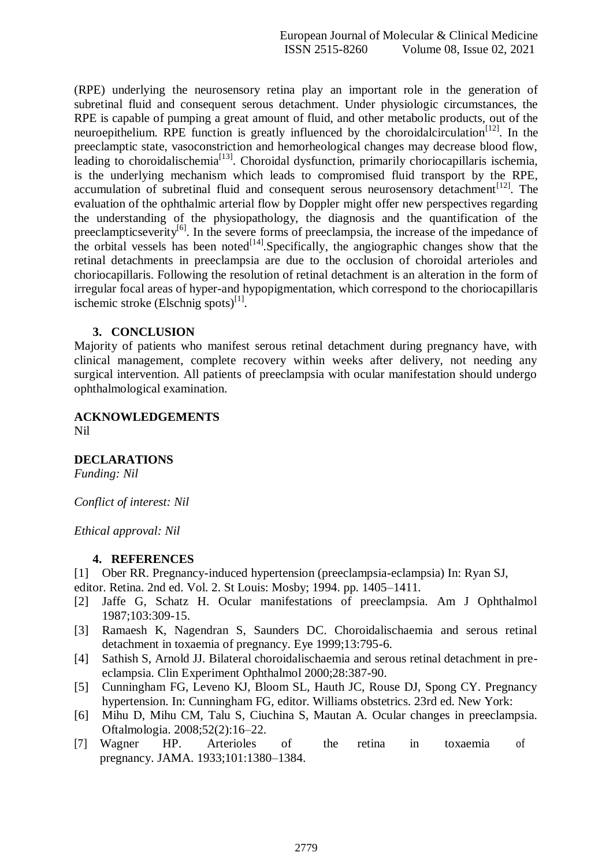(RPE) underlying the neurosensory retina play an important role in the generation of subretinal fluid and consequent serous detachment. Under physiologic circumstances, the RPE is capable of pumping a great amount of fluid, and other metabolic products, out of the neuroepithelium. RPE function is greatly influenced by the choroidalcirculation<sup>[12]</sup>. In the preeclamptic state, vasoconstriction and hemorheological changes may decrease blood flow, leading to choroidalischemia $\left[13\right]$ . Choroidal dysfunction, primarily choriocapillaris ischemia, is the underlying mechanism which leads to compromised fluid transport by the RPE, accumulation of subretinal fluid and consequent serous neurosensory detachment<sup>[12]</sup>. The evaluation of the ophthalmic arterial flow by Doppler might offer new perspectives regarding the understanding of the physiopathology, the diagnosis and the quantification of the preeclamptics everity<sup>[6]</sup>. In the severe forms of preeclampsia, the increase of the impedance of the orbital vessels has been noted $\frac{1}{2}$ . Specifically, the angiographic changes show that the retinal detachments in preeclampsia are due to the occlusion of choroidal arterioles and choriocapillaris. Following the resolution of retinal detachment is an alteration in the form of irregular focal areas of hyper-and hypopigmentation, which correspond to the choriocapillaris ischemic stroke  $(Elschnig spots)^{[1]}$ .

#### **3. CONCLUSION**

Majority of patients who manifest serous retinal detachment during pregnancy have, with clinical management, complete recovery within weeks after delivery, not needing any surgical intervention. All patients of preeclampsia with ocular manifestation should undergo ophthalmological examination.

# **ACKNOWLEDGEMENTS**

Nil

#### **DECLARATIONS**

*Funding: Nil*

*Conflict of interest: Nil*

*Ethical approval: Nil*

#### **4. REFERENCES**

[1] Ober RR. Pregnancy-induced hypertension (preeclampsia-eclampsia) In: Ryan SJ,

editor. Retina. 2nd ed. Vol. 2. St Louis: Mosby; 1994. pp. 1405–1411.

- [2] Jaffe G, Schatz H. Ocular manifestations of preeclampsia. Am J Ophthalmol 1987;103:309-15.
- [3] Ramaesh K, Nagendran S, Saunders DC. Choroidalischaemia and serous retinal detachment in toxaemia of pregnancy. Eye 1999;13:795-6.
- [4] Sathish S, Arnold JJ. Bilateral choroidalischaemia and serous retinal detachment in preeclampsia. Clin Experiment Ophthalmol 2000;28:387-90.
- [5] Cunningham FG, Leveno KJ, Bloom SL, Hauth JC, Rouse DJ, Spong CY. Pregnancy hypertension. In: Cunningham FG, editor. Williams obstetrics. 23rd ed. New York:
- [6] Mihu D, Mihu CM, Talu S, Ciuchina S, Mautan A. Ocular changes in preeclampsia. Oftalmologia. 2008;52(2):16–22.
- [7] Wagner HP. Arterioles of the retina in toxaemia of pregnancy. JAMA. 1933;101:1380–1384.